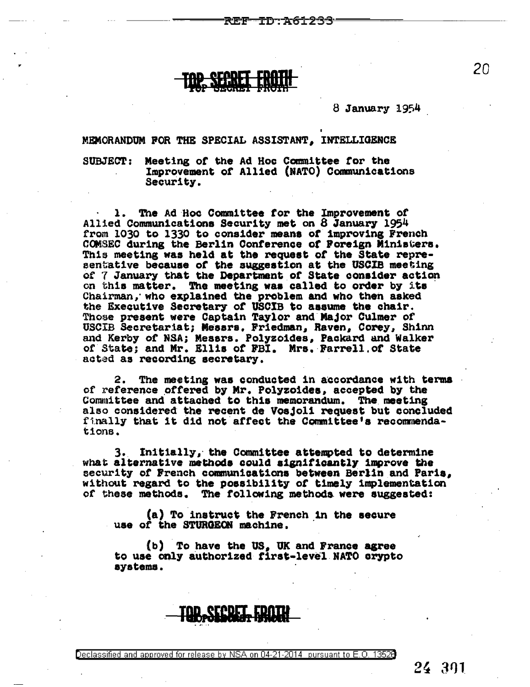-ID:A61233

8 January 1954

MEMORANDUM FOR THE SPECIAL ASSISTANT, INTELLIGENCE

**SUBJECT:** Meeting of the Ad Hoc Committee for the Improvement of Allied (NATO) Communications Security.

1. The Ad Hoc Committee for the Improvement of Allied Communications Security met on 8 January 1954 from 1030 to 1330 to consider means of improving French COMSEC during the Berlin Conference of Foreign Ministers. This meeting was held at the request of the State representative because of the suggestion at the USCIB meeting of 7 January that the Department of State consider action on this matter. The meeting was called to order by its Chairman, who explained the problem and who then asked the Executive Secretary of USCIB to assume the chair. Those present were Captain Taylor and Major Culmer of USCIB Secretariat; Messrs, Friedman, Raven, Corey, Shinn and Kerby of NSA; Messrs. Polyzoides, Packard and Walker of State; and Mr. Ellis of FBI. Mrs. Farrell. of State acted as recording secretary.

The meeting was conducted in accordance with terms 2. of reference offered by Mr. Polyzoides, accepted by the Committee and attached to this memorandum. The meeting also considered the recent de Vosjoli request but concluded finally that it did not affect the Committee's recommendations.

3. Initially, the Committee attempted to determine what alternative methods could significantly improve the security of French communications between Berlin and Paris, without regard to the possibility of timely implementation of these methods. The following methods were suggested:

(a) To instruct the French in the secure use of the STURGEON machine.

(b) To have the US, UK and France agree to use only authorized first-level NATO crypto aystems.



eron

Declassified and approved for release by NSA on 04-21-2014 pursuant to E.O. 13528

24 391

20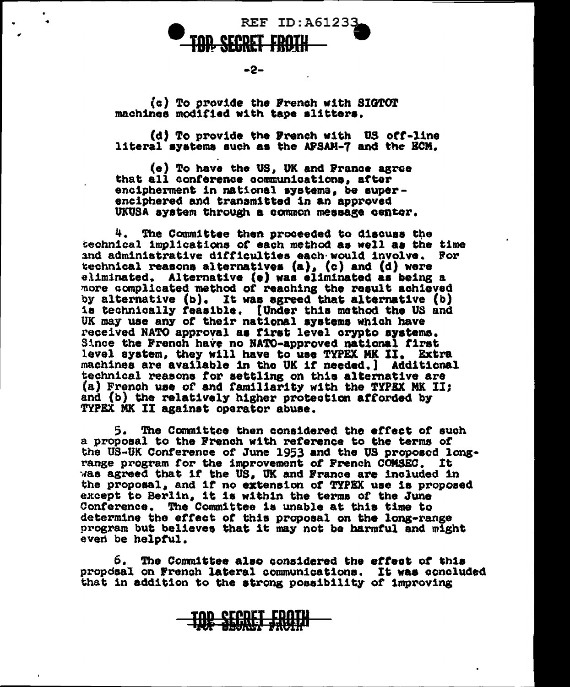**REF ID:A61233** 

 $-2-$ 

(c) To provide the French with SIGTOT machines modified with tape slitters.

(d) To provide the French with US off-line literal systems such as the APSAM-7 and the ECM.

(e) To have the US, UK and France agree that all conference communications, after encipherment in national systems, be superenciphered and transmitted in an approved UKUSA system through a common message center.

4. The Committee then proceeded to discuss the technical implications of each method as well as the time and administrative difficulties each would involve. For technical reasons alternatives (a), (c) and (d) were eliminated. Alternative (e) was eliminated as being a more complicated mathod of reaching the result achieved by alternative (b). It was agreed that alternative (b) is technically feasible. [Under this method the US and UK may use any of their national systems which have received NATO approval as first level orypto systems. Since the French have no NATO-approved national first level system, they will have to use TYPEX MK II. Extra machines are available in the UK if needed. I Additional technical reasons for settling on this alternative are (a) French use of and familiarity with the TYPEX MK II; and (b) the relatively higher protection afforded by TYPEX MK II against operator abuse.

The Committee then considered the effect of such 5. . a proposal to the French with reference to the terms of the US-UK Conference of June 1953 and the US proposed longrange program for the improvement of French COMSEC. It was agreed that if the US. UK and France are included in the proposal, and if no extension of TYPEX use is proposed except to Berlin, it is within the terms of the June Conference. The Committee is unable at this time to determine the effect of this proposal on the long-range program but believes that it may not be harmful and might even be helpful.

6. The Committee also considered the effect of this proposal on French lateral communications. It was concluded that in addition to the strong possibility of improving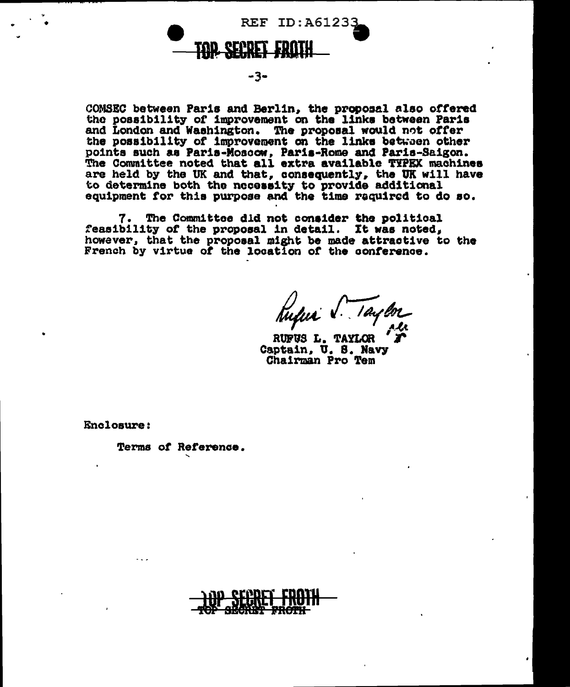**REF ID: A61233** 

-3-

COMSEC between Paris and Berlin, the proposal also offered the possibility of improvement on the links between Paris and London and Washington. The proposal would not offer the possibility of improvement on the links between other points such as Paris-Moscow, Paris-Rome and Paris-Saigon. The Committee noted that all extra available TYPEX machines are held by the UK and that, consequently, the UK will have to determine both the necessity to provide additional equipment for this purpose and the time required to do so.

7. The Committee did not consider the political feasibility of the proposal in detail. It was noted, however, that the proposal might be made attractive to the French by virtue of the location of the conference.

Rufus V. Taylor

RUFUS L. TAYLOR Captain. U. S. Navy Chairman Pro Tem

Enclosure:

Terms of Reference.